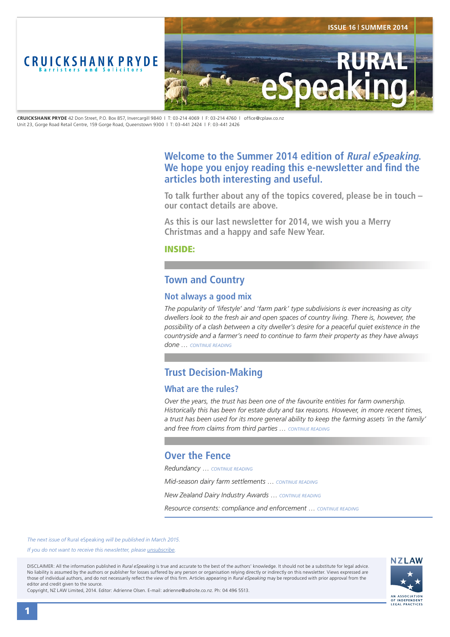<span id="page-0-0"></span>

**CRUICKSHANK PRYDE** 42 Don Street, P.O. Box 857, Invercargill 9840 | T: 03-214 4069 | F: 03-214 4760 | office@cplaw.co.nz Unit 23, Gorge Road Retail Centre, 159 Gorge Road, Queenstown 9300 | T: 03-441 2424 | F: 03-441 2426

# **Welcome to the Summer 2014 edition of Rural eSpeaking. We hope you enjoy reading this e-newsletter and find the articles both interesting and useful.**

**To talk further about any of the topics covered, please be in touch – our contact details are above.** 

**As this is our last newsletter for 2014, we wish you a Merry Christmas and a happy and safe New Year.**

INSIDE:

# **Town and Country**

## **Not always a good mix**

*The popularity of 'lifestyle' and 'farm park' type subdivisions is ever increasing as city dwellers look to the fresh air and open spaces of country living. There is, however, the possibility of a clash between a city dweller's desire for a peaceful quiet existence in the countryside and a farmer's need to continue to farm their property as they have always done … [CONTINUE READING](#page-1-0)*

# **Trust Decision-Making**

# **What are the rules?**

*Over the years, the trust has been one of the favourite entities for farm ownership. Historically this has been for estate duty and tax reasons. However, in more recent times, a trust has been used for its more general ability to keep the farming assets 'in the family' and free from claims from third parties … [CONTINUE READING](#page-2-0)*

# **Over the Fence**

*Redundancy* … *[CONTINUE READING](#page-3-0)*

*Mid-season dairy farm settlements* … *[CONTINUE READING](#page-3-0) New Zealand Dairy Industry Awards* … *[CONTINUE READING](#page-3-0) Resource consents: compliance and enforcement* … *[CONTINUE READING](#page-3-0)*

*The next issue of* Rural eSpeaking *will be published in March 2015.*

*If you do not want to receive this newsletter, please <i>unsubscribe*.

DISCLAIMER: All the information published in *Rural eSpeaking* is true and accurate to the best of the authors' knowledge. It should not be a substitute for legal advice. No liability is assumed by the authors or publisher for losses suffered by any person or organisation relying directly or indirectly on this newsletter. Views expressed are those of individual authors, and do not necessarily reflect the view of this firm. Articles appearing in *Rural eSpeaking* may be reproduced with prior approval from the editor and credit given to the source.

Copyright, NZ LAW Limited, 2014. Editor: Adrienne Olsen. [E-mail: adrienne@adroite.co.nz](mailto:adrienne@adroite.co.nz). Ph: 04 496 5513.

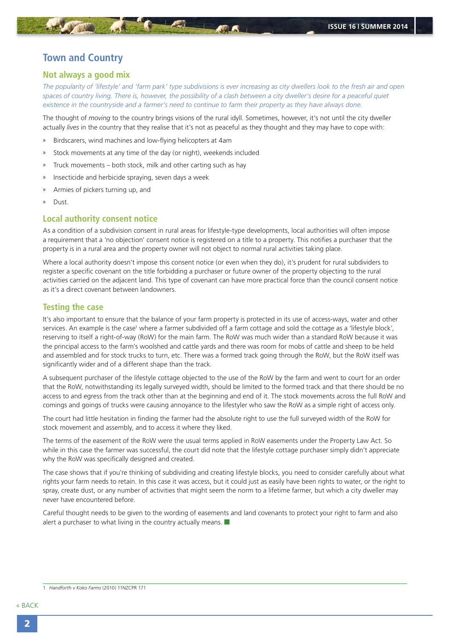# <span id="page-1-0"></span>**Town and Country**

### **Not always a good mix**

*The popularity of 'lifestyle' and 'farm park' type subdivisions is ever increasing as city dwellers look to the fresh air and open*  spaces of country living. There is, however, the possibility of a clash between a city dweller's desire for a peaceful quiet *existence in the countryside and a farmer's need to continue to farm their property as they have always done.*

The thought of *moving* to the country brings visions of the rural idyll. Sometimes, however, it's not until the city dweller actually *lives* in the country that they realise that it's not as peaceful as they thought and they may have to cope with:

- » Birdscarers, wind machines and low-flying helicopters at 4am
- Stock movements at any time of the day (or night), weekends included
- » Truck movements both stock, milk and other carting such as hay
- » Insecticide and herbicide spraying, seven days a week
- » Armies of pickers turning up, and
- » Dust.

### **Local authority consent notice**

As a condition of a subdivision consent in rural areas for lifestyle-type developments, local authorities will often impose a requirement that a 'no objection' consent notice is registered on a title to a property. This notifies a purchaser that the property is in a rural area and the property owner will not object to normal rural activities taking place.

Where a local authority doesn't impose this consent notice (or even when they do), it's prudent for rural subdividers to register a specific covenant on the title forbidding a purchaser or future owner of the property objecting to the rural activities carried on the adjacent land. This type of covenant can have more practical force than the council consent notice as it's a direct covenant between landowners.

#### **Testing the case**

It's also important to ensure that the balance of your farm property is protected in its use of access-ways, water and other services. An example is the case<sup>1</sup> where a farmer subdivided off a farm cottage and sold the cottage as a 'lifestyle block', reserving to itself a right-of-way (RoW) for the main farm. The RoW was much wider than a standard RoW because it was the principal access to the farm's woolshed and cattle yards and there was room for mobs of cattle and sheep to be held and assembled and for stock trucks to turn, etc. There was a formed track going through the RoW, but the RoW itself was significantly wider and of a different shape than the track.

A subsequent purchaser of the lifestyle cottage objected to the use of the RoW by the farm and went to court for an order that the RoW, notwithstanding its legally surveyed width, should be limited to the formed track and that there should be no access to and egress from the track other than at the beginning and end of it. The stock movements across the full RoW and comings and goings of trucks were causing annoyance to the lifestyler who saw the RoW as a simple right of access only.

The court had little hesitation in finding the farmer had the absolute right to use the full surveyed width of the RoW for stock movement and assembly, and to access it where they liked.

The terms of the easement of the RoW were the usual terms applied in RoW easements under the Property Law Act. So while in this case the farmer was successful, the court did note that the lifestyle cottage purchaser simply didn't appreciate why the RoW was specifically designed and created.

The case shows that if you're thinking of subdividing and creating lifestyle blocks, you need to consider carefully about what rights your farm needs to retain. In this case it was access, but it could just as easily have been rights to water, or the right to spray, create dust, or any number of activities that might seem the norm to a lifetime farmer, but which a city dweller may never have encountered before.

Careful thought needs to be given to the wording of easements and land covenants to protect your right to farm and also alert a purchaser to what living in the country actually means.  $\blacksquare$ 

[« BACK](#page-0-0)

<sup>1</sup> *Handforth v Koko Farms* (2010) 11NZCPR 171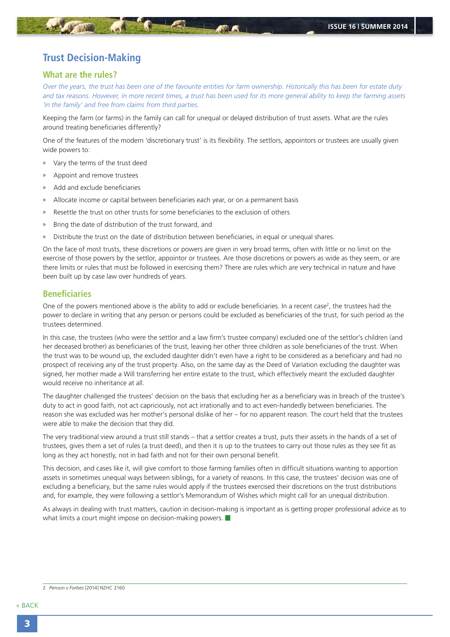# <span id="page-2-0"></span>**Trust Decision-Making**

### **What are the rules?**

*Over the years, the trust has been one of the favourite entities for farm ownership. Historically this has been for estate duty and tax reasons. However, in more recent times, a trust has been used for its more general ability to keep the farming assets 'in the family' and free from claims from third parties.*

Keeping the farm (or farms) in the family can call for unequal or delayed distribution of trust assets. What are the rules around treating beneficiaries differently?

One of the features of the modern 'discretionary trust' is its flexibility. The settlors, appointors or trustees are usually given wide powers to:

- » Vary the terms of the trust deed
- » Appoint and remove trustees
- » Add and exclude beneficiaries
- Allocate income or capital between beneficiaries each year, or on a permanent basis
- » Resettle the trust on other trusts for some beneficiaries to the exclusion of others
- » Bring the date of distribution of the trust forward, and
- » Distribute the trust on the date of distribution between beneficiaries, in equal or unequal shares.

On the face of most trusts, these discretions or powers are given in very broad terms, often with little or no limit on the exercise of those powers by the settlor, appointor or trustees. Are those discretions or powers as wide as they seem, or are there limits or rules that must be followed in exercising them? There are rules which are very technical in nature and have been built up by case law over hundreds of years.

## **Beneficiaries**

One of the powers mentioned above is the ability to add or exclude beneficiaries. In a recent case<sup>2</sup>, the trustees had the power to declare in writing that any person or persons could be excluded as beneficiaries of the trust, for such period as the trustees determined.

In this case, the trustees (who were the settlor and a law firm's trustee company) excluded one of the settlor's children (and her deceased brother) as beneficiaries of the trust, leaving her other three children as sole beneficiaries of the trust. When the trust was to be wound up, the excluded daughter didn't even have a right to be considered as a beneficiary and had no prospect of receiving any of the trust property. Also, on the same day as the Deed of Variation excluding the daughter was signed, her mother made a Will transferring her entire estate to the trust, which effectively meant the excluded daughter would receive no inheritance at all.

The daughter challenged the trustees' decision on the basis that excluding her as a beneficiary was in breach of the trustee's duty to act in good faith, not act capriciously, not act irrationally and to act even-handedly between beneficiaries. The reason she was excluded was her mother's personal dislike of her – for no apparent reason. The court held that the trustees were able to make the decision that they did.

The very traditional view around a trust still stands – that a settlor creates a trust, puts their assets in the hands of a set of trustees, gives them a set of rules (a trust deed), and then it is up to the trustees to carry out those rules as they see fit as long as they act honestly, not in bad faith and not for their own personal benefit.

This decision, and cases like it, will give comfort to those farming families often in difficult situations wanting to apportion assets in sometimes unequal ways between siblings, for a variety of reasons. In this case, the trustees' decision was one of excluding a beneficiary, but the same rules would apply if the trustees exercised their discretions on the trust distributions and, for example, they were following a settlor's Memorandum of Wishes which might call for an unequal distribution.

As always in dealing with trust matters, caution in decision-making is important as is getting proper professional advice as to what limits a court might impose on decision-making powers.

<sup>2</sup> *Penson v Forbes* [2014] NZHC 2160